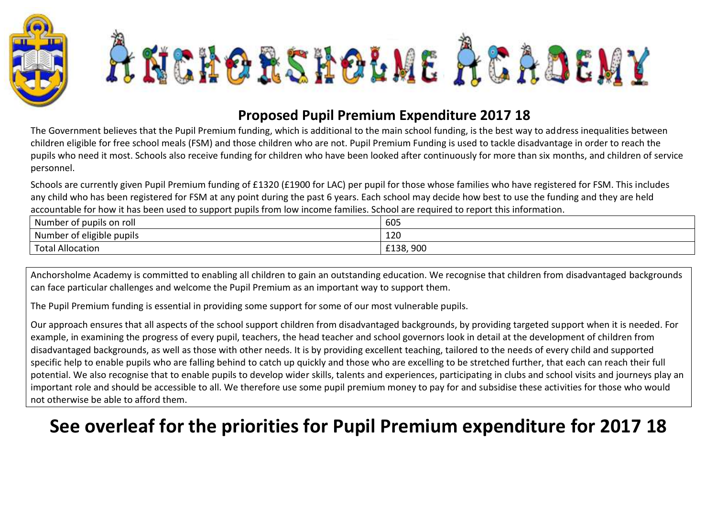



## **Proposed Pupil Premium Expenditure 2017 18**

The Government believes that the Pupil Premium funding, which is additional to the main school funding, is the best way to address inequalities between children eligible for free school meals (FSM) and those children who are not. Pupil Premium Funding is used to tackle disadvantage in order to reach the pupils who need it most. Schools also receive funding for children who have been looked after continuously for more than six months, and children of service personnel.

Schools are currently given Pupil Premium funding of £1320 (£1900 for LAC) per pupil for those whose families who have registered for FSM. This includes any child who has been registered for FSM at any point during the past 6 years. Each school may decide how best to use the funding and they are held accountable for how it has been used to support pupils from low income families. School are required to report this information.

| . .<br>Number of pupils on roll              | 605                      |
|----------------------------------------------|--------------------------|
| . .<br>. .<br>.<br>Number of eligible pupils | 120                      |
| Total Allocation                             | nnn<br>f138<br>LIJO, JUU |

Anchorsholme Academy is committed to enabling all children to gain an outstanding education. We recognise that children from disadvantaged backgrounds can face particular challenges and welcome the Pupil Premium as an important way to support them.

The Pupil Premium funding is essential in providing some support for some of our most vulnerable pupils.

Our approach ensures that all aspects of the school support children from disadvantaged backgrounds, by providing targeted support when it is needed. For example, in examining the progress of every pupil, teachers, the head teacher and school governors look in detail at the development of children from disadvantaged backgrounds, as well as those with other needs. It is by providing excellent teaching, tailored to the needs of every child and supported specific help to enable pupils who are falling behind to catch up quickly and those who are excelling to be stretched further, that each can reach their full potential. We also recognise that to enable pupils to develop wider skills, talents and experiences, participating in clubs and school visits and journeys play an important role and should be accessible to all. We therefore use some pupil premium money to pay for and subsidise these activities for those who would not otherwise be able to afford them.

## **See overleaf for the priorities for Pupil Premium expenditure for 2017 18**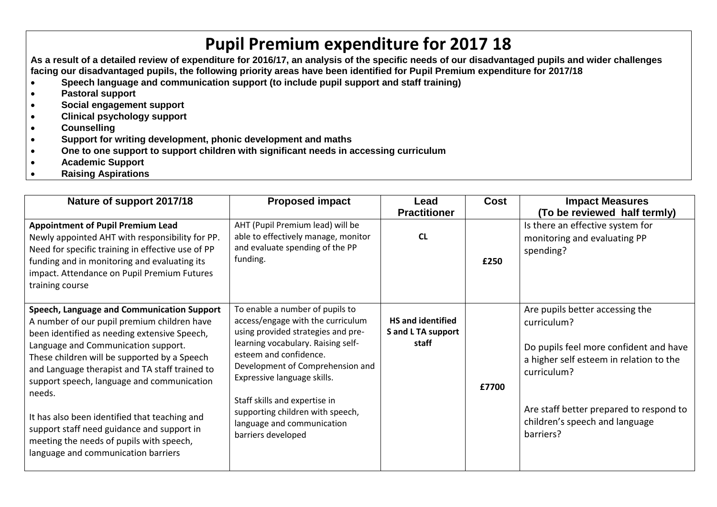## **Pupil Premium expenditure for 2017 18**

**As a result of a detailed review of expenditure for 2016/17, an analysis of the specific needs of our disadvantaged pupils and wider challenges facing our disadvantaged pupils, the following priority areas have been identified for Pupil Premium expenditure for 2017/18**

- **Speech language and communication support (to include pupil support and staff training)**
- **Pastoral support**
- **Social engagement support**
- **Clinical psychology support**
- **Counselling**
- **Support for writing development, phonic development and maths**
- **One to one support to support children with significant needs in accessing curriculum**
- **Academic Support**
- **Raising Aspirations**

| Nature of support 2017/18                                                                                                                                                                                                                                                                                                                                                                                                                                                                                                    | <b>Proposed impact</b>                                                                                                                                                                                                                                                                                                                                                 | Lead<br><b>Practitioner</b>                             | Cost  | <b>Impact Measures</b><br>(To be reviewed half termly)                                                                                                                                                                                       |
|------------------------------------------------------------------------------------------------------------------------------------------------------------------------------------------------------------------------------------------------------------------------------------------------------------------------------------------------------------------------------------------------------------------------------------------------------------------------------------------------------------------------------|------------------------------------------------------------------------------------------------------------------------------------------------------------------------------------------------------------------------------------------------------------------------------------------------------------------------------------------------------------------------|---------------------------------------------------------|-------|----------------------------------------------------------------------------------------------------------------------------------------------------------------------------------------------------------------------------------------------|
| <b>Appointment of Pupil Premium Lead</b><br>Newly appointed AHT with responsibility for PP.<br>Need for specific training in effective use of PP<br>funding and in monitoring and evaluating its<br>impact. Attendance on Pupil Premium Futures<br>training course                                                                                                                                                                                                                                                           | AHT (Pupil Premium lead) will be<br>able to effectively manage, monitor<br>and evaluate spending of the PP<br>funding.                                                                                                                                                                                                                                                 | <b>CL</b>                                               | £250  | Is there an effective system for<br>monitoring and evaluating PP<br>spending?                                                                                                                                                                |
| Speech, Language and Communication Support<br>A number of our pupil premium children have<br>been identified as needing extensive Speech,<br>Language and Communication support.<br>These children will be supported by a Speech<br>and Language therapist and TA staff trained to<br>support speech, language and communication<br>needs.<br>It has also been identified that teaching and<br>support staff need guidance and support in<br>meeting the needs of pupils with speech,<br>language and communication barriers | To enable a number of pupils to<br>access/engage with the curriculum<br>using provided strategies and pre-<br>learning vocabulary. Raising self-<br>esteem and confidence.<br>Development of Comprehension and<br>Expressive language skills.<br>Staff skills and expertise in<br>supporting children with speech,<br>language and communication<br>barriers developed | <b>HS and identified</b><br>S and L TA support<br>staff | £7700 | Are pupils better accessing the<br>curriculum?<br>Do pupils feel more confident and have<br>a higher self esteem in relation to the<br>curriculum?<br>Are staff better prepared to respond to<br>children's speech and language<br>barriers? |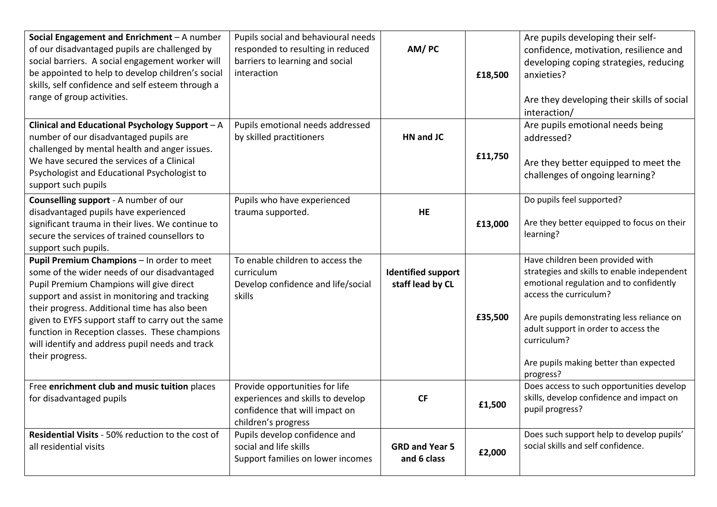| Social Engagement and Enrichment - A number<br>of our disadvantaged pupils are challenged by<br>social barriers. A social engagement worker will<br>be appointed to help to develop children's social<br>skills, self confidence and self esteem through a<br>range of group activities.                                                                                                                              | Pupils social and behavioural needs<br>responded to resulting in reduced<br>barriers to learning and social<br>interaction   | AM/PC                                         | £18,500 | Are pupils developing their self-<br>confidence, motivation, resilience and<br>developing coping strategies, reducing<br>anxieties?<br>Are they developing their skills of social<br>interaction/                                                                                                               |
|-----------------------------------------------------------------------------------------------------------------------------------------------------------------------------------------------------------------------------------------------------------------------------------------------------------------------------------------------------------------------------------------------------------------------|------------------------------------------------------------------------------------------------------------------------------|-----------------------------------------------|---------|-----------------------------------------------------------------------------------------------------------------------------------------------------------------------------------------------------------------------------------------------------------------------------------------------------------------|
| Clinical and Educational Psychology Support - A<br>number of our disadvantaged pupils are<br>challenged by mental health and anger issues.<br>We have secured the services of a Clinical<br>Psychologist and Educational Psychologist to<br>support such pupils                                                                                                                                                       | Pupils emotional needs addressed<br>by skilled practitioners                                                                 | HN and JC                                     | £11,750 | Are pupils emotional needs being<br>addressed?<br>Are they better equipped to meet the<br>challenges of ongoing learning?                                                                                                                                                                                       |
| Counselling support - A number of our<br>disadvantaged pupils have experienced<br>significant trauma in their lives. We continue to<br>secure the services of trained counsellors to<br>support such pupils.                                                                                                                                                                                                          | Pupils who have experienced<br>trauma supported.                                                                             | HE                                            | £13,000 | Do pupils feel supported?<br>Are they better equipped to focus on their<br>learning?                                                                                                                                                                                                                            |
| Pupil Premium Champions - In order to meet<br>some of the wider needs of our disadvantaged<br>Pupil Premium Champions will give direct<br>support and assist in monitoring and tracking<br>their progress. Additional time has also been<br>given to EYFS support staff to carry out the same<br>function in Reception classes. These champions<br>will identify and address pupil needs and track<br>their progress. | To enable children to access the<br>curriculum<br>Develop confidence and life/social<br>skills                               | <b>Identified support</b><br>staff lead by CL | £35,500 | Have children been provided with<br>strategies and skills to enable independent<br>emotional regulation and to confidently<br>access the curriculum?<br>Are pupils demonstrating less reliance on<br>adult support in order to access the<br>curriculum?<br>Are pupils making better than expected<br>progress? |
| Free enrichment club and music tuition places<br>for disadvantaged pupils                                                                                                                                                                                                                                                                                                                                             | Provide opportunities for life<br>experiences and skills to develop<br>confidence that will impact on<br>children's progress | <b>CF</b>                                     | £1,500  | Does access to such opportunities develop<br>skills, develop confidence and impact on<br>pupil progress?                                                                                                                                                                                                        |
| Residential Visits - 50% reduction to the cost of<br>all residential visits                                                                                                                                                                                                                                                                                                                                           | Pupils develop confidence and<br>social and life skills<br>Support families on lower incomes                                 | <b>GRD and Year 5</b><br>and 6 class          | £2,000  | Does such support help to develop pupils'<br>social skills and self confidence.                                                                                                                                                                                                                                 |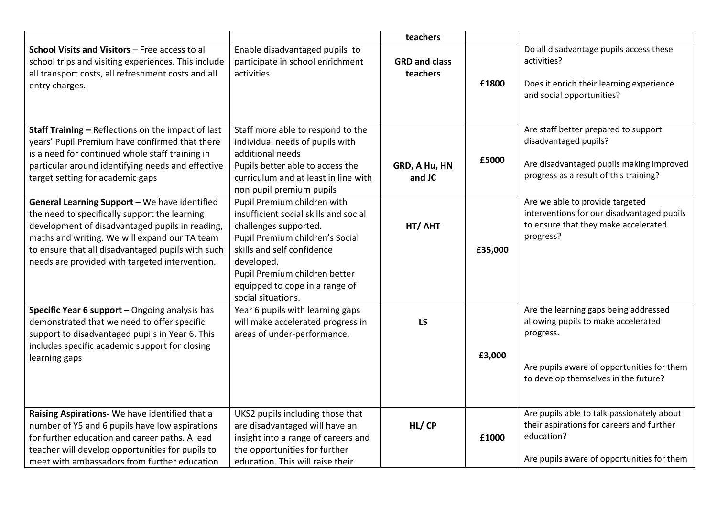|                                                                                                                                                                                                                                                                                                           |                                                                                                                                                                                                                                                                       | teachers                         |         |                                                                                                                                                                                 |
|-----------------------------------------------------------------------------------------------------------------------------------------------------------------------------------------------------------------------------------------------------------------------------------------------------------|-----------------------------------------------------------------------------------------------------------------------------------------------------------------------------------------------------------------------------------------------------------------------|----------------------------------|---------|---------------------------------------------------------------------------------------------------------------------------------------------------------------------------------|
| School Visits and Visitors - Free access to all<br>school trips and visiting experiences. This include<br>all transport costs, all refreshment costs and all<br>entry charges.                                                                                                                            | Enable disadvantaged pupils to<br>participate in school enrichment<br>activities                                                                                                                                                                                      | <b>GRD and class</b><br>teachers | £1800   | Do all disadvantage pupils access these<br>activities?<br>Does it enrich their learning experience<br>and social opportunities?                                                 |
| Staff Training - Reflections on the impact of last<br>years' Pupil Premium have confirmed that there<br>is a need for continued whole staff training in<br>particular around identifying needs and effective<br>target setting for academic gaps                                                          | Staff more able to respond to the<br>individual needs of pupils with<br>additional needs<br>Pupils better able to access the<br>curriculum and at least in line with<br>non pupil premium pupils                                                                      | GRD, A Hu, HN<br>and JC          | £5000   | Are staff better prepared to support<br>disadvantaged pupils?<br>Are disadvantaged pupils making improved<br>progress as a result of this training?                             |
| General Learning Support - We have identified<br>the need to specifically support the learning<br>development of disadvantaged pupils in reading,<br>maths and writing. We will expand our TA team<br>to ensure that all disadvantaged pupils with such<br>needs are provided with targeted intervention. | Pupil Premium children with<br>insufficient social skills and social<br>challenges supported.<br>Pupil Premium children's Social<br>skills and self confidence<br>developed.<br>Pupil Premium children better<br>equipped to cope in a range of<br>social situations. | HT/ AHT                          | £35,000 | Are we able to provide targeted<br>interventions for our disadvantaged pupils<br>to ensure that they make accelerated<br>progress?                                              |
| Specific Year 6 support - Ongoing analysis has<br>demonstrated that we need to offer specific<br>support to disadvantaged pupils in Year 6. This<br>includes specific academic support for closing<br>learning gaps                                                                                       | Year 6 pupils with learning gaps<br>will make accelerated progress in<br>areas of under-performance.                                                                                                                                                                  | LS                               | £3,000  | Are the learning gaps being addressed<br>allowing pupils to make accelerated<br>progress.<br>Are pupils aware of opportunities for them<br>to develop themselves in the future? |
| Raising Aspirations- We have identified that a<br>number of Y5 and 6 pupils have low aspirations<br>for further education and career paths. A lead<br>teacher will develop opportunities for pupils to<br>meet with ambassadors from further education                                                    | UKS2 pupils including those that<br>are disadvantaged will have an<br>insight into a range of careers and<br>the opportunities for further<br>education. This will raise their                                                                                        | HL/CP                            | £1000   | Are pupils able to talk passionately about<br>their aspirations for careers and further<br>education?<br>Are pupils aware of opportunities for them                             |